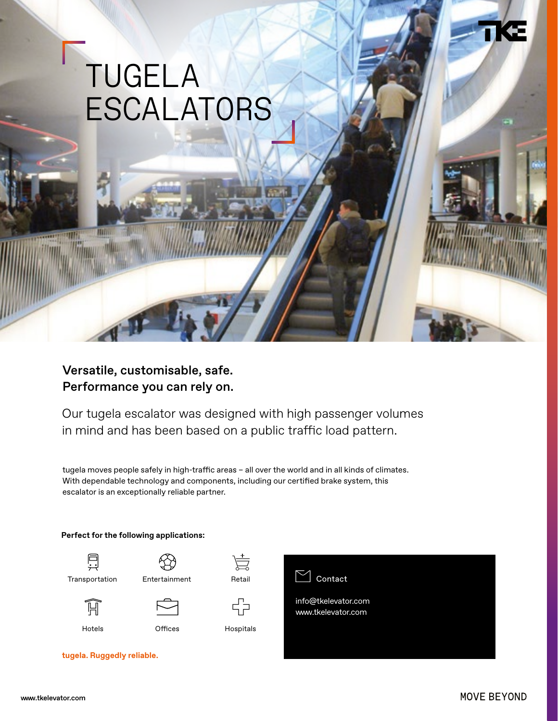## TUGELA ESCALATORS

Versatile, customisable, safe. Performance you can rely on.

Our tugela escalator was designed with high passenger volumes in mind and has been based on a public traffic load pattern.

tugela moves people safely in high-traffic areas – all over the world and in all kinds of climates. With dependable technology and components, including our certified brake system, this escalator is an exceptionally reliable partner.





W



Transportation Entertainment Retail



宫

Ҁၣ



Hotels **Offices** Hospitals



info@tkelevator.com www.tkelevator.com

**tugela. Ruggedly reliable.**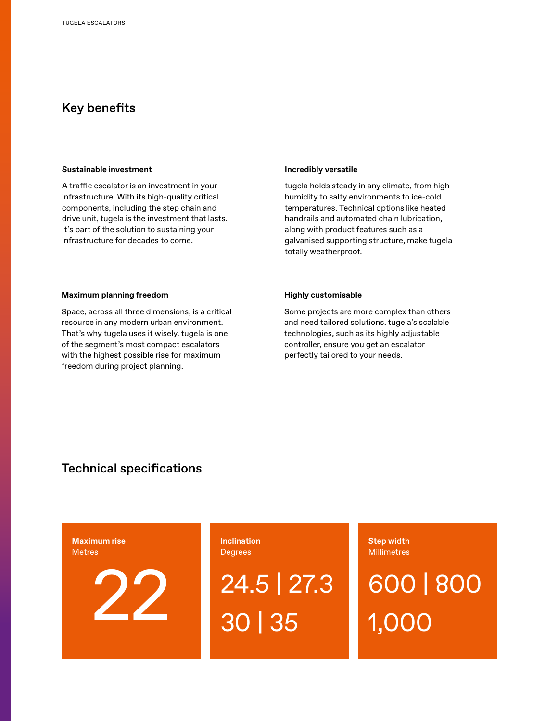## Key benefits

#### **Sustainable investment**

A traffic escalator is an investment in your infrastructure. With its high-quality critical components, including the step chain and drive unit, tugela is the investment that lasts. It's part of the solution to sustaining your infrastructure for decades to come.

#### **Incredibly versatile**

tugela holds steady in any climate, from high humidity to salty environments to ice-cold temperatures. Technical options like heated handrails and automated chain lubrication, along with product features such as a galvanised supporting structure, make tugela totally weatherproof.

#### **Maximum planning freedom**

Space, across all three dimensions, is a critical resource in any modern urban environment. That's why tugela uses it wisely. tugela is one of the segment's most compact escalators with the highest possible rise for maximum freedom during project planning.

#### **Highly customisable**

Some projects are more complex than others and need tailored solutions. tugela's scalable technologies, such as its highly adjustable controller, ensure you get an escalator perfectly tailored to your needs.

## Technical specifications

**Maximum rise** Metres

22

**Inclination Degrees** 

24.5 | 27.3 30 | 35

**Step width Millimetres** 

600 | 800 1,000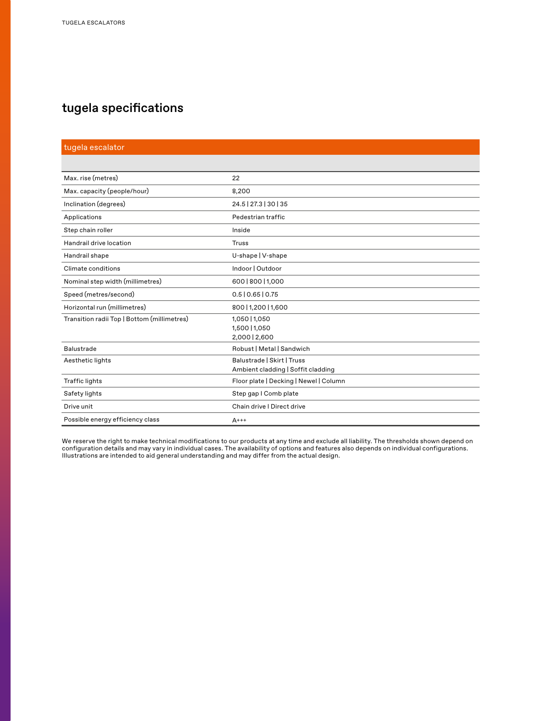## tugela specifications

| tugela escalator                            |                                                                  |
|---------------------------------------------|------------------------------------------------------------------|
|                                             |                                                                  |
| Max. rise (metres)                          | 22                                                               |
| Max. capacity (people/hour)                 | 8,200                                                            |
| Inclination (degrees)                       | 24.5   27.3   30   35                                            |
| Applications                                | Pedestrian traffic                                               |
| Step chain roller                           | Inside                                                           |
| Handrail drive location                     | Truss                                                            |
| Handrail shape                              | U-shape   V-shape                                                |
| Climate conditions                          | Indoor   Outdoor                                                 |
| Nominal step width (millimetres)            | 600   800   1,000                                                |
| Speed (metres/second)                       | 0.5   0.65   0.75                                                |
| Horizontal run (millimetres)                | 800   1,200   1,600                                              |
| Transition radii Top   Bottom (millimetres) | 1,050   1,050<br>1,500   1,050<br>2,000   2,600                  |
| <b>Balustrade</b>                           | Robust   Metal   Sandwich                                        |
| Aesthetic lights                            | Balustrade   Skirt   Truss<br>Ambient cladding   Soffit cladding |
| <b>Traffic lights</b>                       | Floor plate   Decking   Newel   Column                           |
| Safety lights                               | Step gap I Comb plate                                            |
| Drive unit                                  | Chain drive I Direct drive                                       |
| Possible energy efficiency class            | $A^{++}$                                                         |

We reserve the right to make technical modifications to our products at any time and exclude all liability. The thresholds shown depend on configuration details and may vary in individual cases. The availability of options and features also depends on individual configurations. Illustrations are intended to aid general understanding and may differ from the actual design.